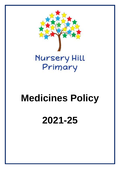

# **Medicines Policy**

# **2021-25**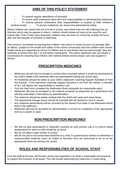# **AIMS OF THIS POLICY STATEMENT**

- To support regular attendance of all pupils;
- To ensure staff understand their roles and responsibilities in administering medicines;

• To ensure parents understand their responsibilities in respect of their children's medical needs;  $\Box$  To ensure medicines are stored and administered safely.

Where children are unwell and not fit to be in school, and where they are still suffering from an infection which may be passed to others, children should remain at home to be cared for and looked after. Even if they have improved, children may not return to school for at least 48 hours after the last episode of sickness or diarrhoea.

The school is committed to ensuring that children may return to school as soon as possible after an illness, (subject to the health and safety of the school community) and that children with chronic health needs are supported at school. If children are on anti-biotics and are well enough, they are welcome at school from day 1 of anti-biotics being given. This policy statement sets out clearly a sound basis for ensuring that children with medical needs receive proper care and support in school.

# **PRESCRIPTION MEDICINES**

- Medicines should only be brought to school when essential (where it would be detrimental to the child's health if the medicine were not administered during the school day);
- All medicines should be taken to your child's classroom Learning Support Assistant (if First Aid trained). If the classroom Learning Support Assistant is not First Aid trained, a member of SLT will deploy this responsibility to another LSA;
- First Aid Staff must complete the Medication Book alongside the responsible adult;
- Medicines will only be accepted in the original container as dispensed by a pharmacist and with the prescriber's instructions for administration;
- The medicine should be clearly marked with the child's full name and class name;
- The appropriate dosage spoon should be included with all medicines sent to school;
- Any medicine administered will be recorded by the named First Aider in the Medication Book kept in the staffroom;
- Medicines will only be accepted for administration in school on completion of the appropriate form by a parent or carer.

# **NON-PRESCRIPTION MEDICINES**

- We will not give paracetamol or ibuprofen routinely as their primary use is to control raised temperature for which a child should be at home;
- We do not allow cough sweets in school;
- We do not give a non-prescribed medicine to a child. If a parent/carer wishes to administer a nonprescribed medicine (such as Calpol or Nurofen) they are welcomed to do so at the appropriate times by coming into school.

# **ROLES AND RESPONSIBILITIES OF SCHOOL STAFF**

First Aid Staff at Nursery Hill Primary school are expected to do what is reasonable and practical to support the inclusion of all pupils. This will include administering medicines or supervising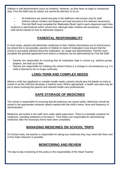children in self administration (such as inhalers). However, as they have no legal or contractual duty, First Aid Staff may be asked, but cannot be directed, to do so.

- All medicines are stored securely in the staffroom with access only for staff;
- Asthma reliever inhalers and Epipens are kept securely in the relevant classrooms;

• First Aid Staff must complete the 'Medication Book' kept in each classroom each time medicine is administered within school time, although older children will sometimes;  $\Box$  Relevant staff will be trained on how to administer Epipens.

### **PARENTAL RESPONSIBILITY**

In most cases, parents will administer medicines to their children themselves out of school hours, but where this is not possible, parents of children in need of medication must ensure that the school is accurately advised about the medication, its usage and administration. Parents must complete the parental agreement form before a medicine can be administered by First Aid Staff.

- Parents are responsible for ensuring that all medication kept in school e.g. asthma pumps, Epipens, are kept up to date;
- Parents are responsible for notifying the school if there is a change in circumstances e.g. if a child is deemed to be no longer asthmatic.

#### **LONG-TERM AND COMPLEX NEEDS**

Where a child has significant or complex health needs, parents should give full details on entry to school or as the child first develops a medical need. Where appropriate, a health care plan may be put in place involving the parents and relevant health care professionals.

#### **SAFE STORAGE OF MEDICINES**

The school is responsible for ensuring that all medicines are stored safely. Medicines should be stored in the appropriate container clearly marked with the child's name, dose and frequency of administration.

Medicines are locked in the staff room under adult supervision. There is a lockable container for medicines, including antibiotics to be kept in. First Aiders are responsible for administering medicines after the necessary forms have been completed.

#### **MANAGING MEDICINES ON SCHOOL TRIPS**

On School visits, the teacher is responsible for taking any medicines they may need with them and a First Aider wherever is possible.

#### **MONITORING AND REVIEW**

The day-to-day monitoring of this policy is the responsibility of the Head Teacher.